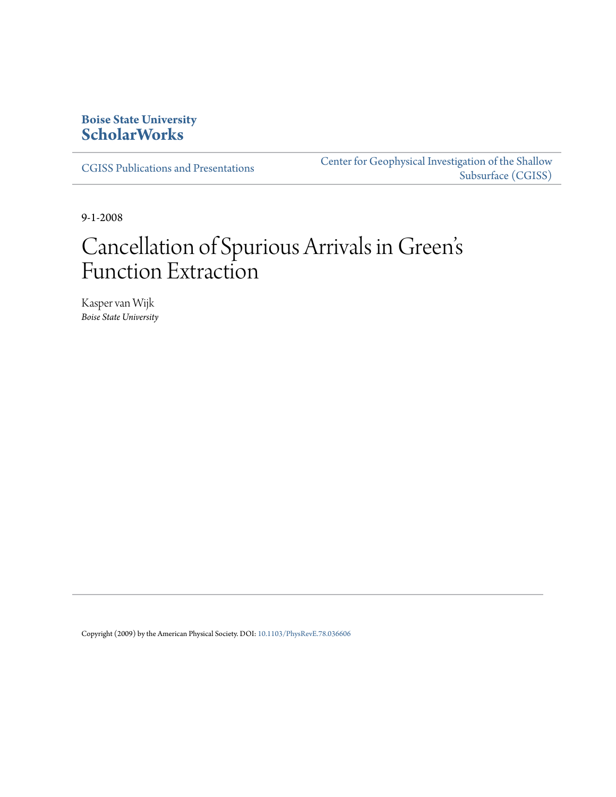## **Boise State University [ScholarWorks](https://scholarworks.boisestate.edu)**

[CGISS Publications and Presentations](https://scholarworks.boisestate.edu/cgiss_facpubs)

[Center for Geophysical Investigation of the Shallow](https://scholarworks.boisestate.edu/cgiss) [Subsurface \(CGISS\)](https://scholarworks.boisestate.edu/cgiss)

9-1-2008

# Cancellation of Spurious Arrivals in Green s ' Function Extraction

Kasper van Wijk *Boise State University*

Copyright (2009) by the American Physical Society. DOI: [10.1103/PhysRevE.78.036606](http://dx.doi.org/10.1103/PhysRevE.78.036606)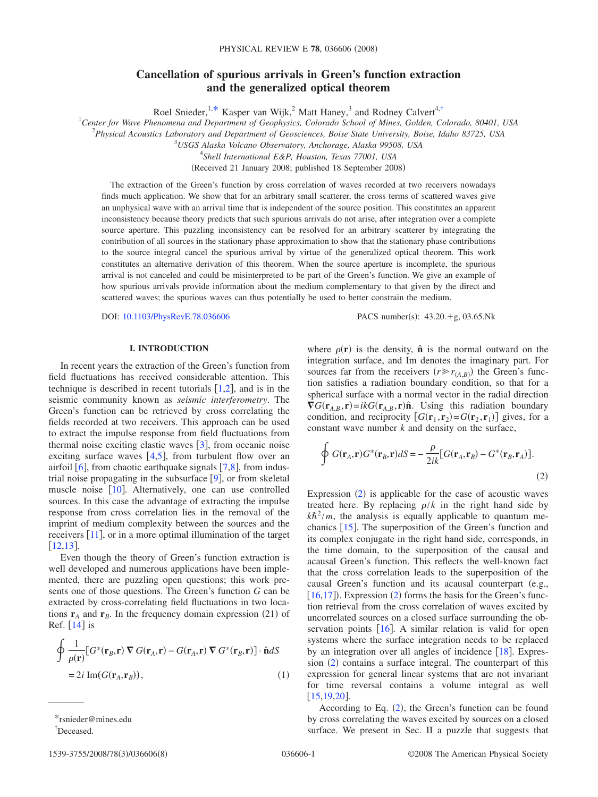## **Cancellation of spurious arrivals in Green's function extraction and the generalized optical theorem**

Roel Snieder,<sup>1,\*</sup> Kasper van Wijk,<sup>2</sup> Matt Haney,<sup>3</sup> and Rodney Calvert<sup>4,†</sup>

1 *Center for Wave Phenomena and Department of Geophysics, Colorado School of Mines, Golden, Colorado, 80401, USA*

2 *Physical Acoustics Laboratory and Department of Geosciences, Boise State University, Boise, Idaho 83725, USA*

3 *USGS Alaska Volcano Observatory, Anchorage, Alaska 99508, USA*

4 *Shell International E&P, Houston, Texas 77001, USA*

(Received 21 January 2008; published 18 September 2008)

The extraction of the Green's function by cross correlation of waves recorded at two receivers nowadays finds much application. We show that for an arbitrary small scatterer, the cross terms of scattered waves give an unphysical wave with an arrival time that is independent of the source position. This constitutes an apparent inconsistency because theory predicts that such spurious arrivals do not arise, after integration over a complete source aperture. This puzzling inconsistency can be resolved for an arbitrary scatterer by integrating the contribution of all sources in the stationary phase approximation to show that the stationary phase contributions to the source integral cancel the spurious arrival by virtue of the generalized optical theorem. This work constitutes an alternative derivation of this theorem. When the source aperture is incomplete, the spurious arrival is not canceled and could be misinterpreted to be part of the Green's function. We give an example of how spurious arrivals provide information about the medium complementary to that given by the direct and scattered waves; the spurious waves can thus potentially be used to better constrain the medium.

DOI:  $10.1103/PhysRevE.78.036606$  PACS number(s):  $43.20. +g, 03.65.Nk$ 

## **I. INTRODUCTION**

In recent years the extraction of the Green's function from field fluctuations has received considerable attention. This technique is described in recent tutorials  $[1,2]$  $[1,2]$  $[1,2]$  $[1,2]$ , and is in the seismic community known as *seismic interferometry*. The Green's function can be retrieved by cross correlating the fields recorded at two receivers. This approach can be used to extract the impulse response from field fluctuations from thermal noise exciting elastic waves  $\lceil 3 \rceil$  $\lceil 3 \rceil$  $\lceil 3 \rceil$ , from oceanic noise exciting surface waves  $[4,5]$  $[4,5]$  $[4,5]$  $[4,5]$ , from turbulent flow over an airfoil  $[6]$  $[6]$  $[6]$ , from chaotic earthquake signals  $[7,8]$  $[7,8]$  $[7,8]$  $[7,8]$ , from industrial noise propagating in the subsurface  $[9]$  $[9]$  $[9]$ , or from skeletal muscle noise  $[10]$  $[10]$  $[10]$ . Alternatively, one can use controlled sources. In this case the advantage of extracting the impulse response from cross correlation lies in the removal of the imprint of medium complexity between the sources and the receivers  $[11]$  $[11]$  $[11]$ , or in a more optimal illumination of the target  $[12,13]$  $[12,13]$  $[12,13]$  $[12,13]$ .

Even though the theory of Green's function extraction is well developed and numerous applications have been implemented, there are puzzling open questions; this work presents one of those questions. The Green's function *G* can be extracted by cross-correlating field fluctuations in two locations  $\mathbf{r}_A$  and  $\mathbf{r}_B$ . In the frequency domain expression (21) of Ref.  $\lceil 14 \rceil$  $\lceil 14 \rceil$  $\lceil 14 \rceil$  is

$$
\oint \frac{1}{\rho(\mathbf{r})} [G^*(\mathbf{r}_B, \mathbf{r}) \nabla G(\mathbf{r}_A, \mathbf{r}) - G(\mathbf{r}_A, \mathbf{r}) \nabla G^*(\mathbf{r}_B, \mathbf{r})] \cdot \hat{\mathbf{n}} dS
$$
\n
$$
= 2i \operatorname{Im}(G(\mathbf{r}_A, \mathbf{r}_B)), \tag{1}
$$

where  $\rho(\mathbf{r})$  is the density,  $\hat{\mathbf{n}}$  is the normal outward on the integration surface, and Im denotes the imaginary part. For sources far from the receivers  $(r \ge r_{(A,B)})$  the Green's function satisfies a radiation boundary condition, so that for a spherical surface with a normal vector in the radial direction  $\nabla G(\mathbf{r}_{A,B}, \mathbf{r}) = ikG(\mathbf{r}_{A,B}, \mathbf{r})\hat{\mathbf{n}}$ . Using this radiation boundary condition, and reciprocity  $[G(\mathbf{r}_1, \mathbf{r}_2) = G(\mathbf{r}_2, \mathbf{r}_1)]$  gives, for a constant wave number *k* and density on the surface,

<span id="page-1-0"></span>
$$
\oint G(\mathbf{r}_A, \mathbf{r}) G^*(\mathbf{r}_B, \mathbf{r}) dS = -\frac{\rho}{2ik} [G(\mathbf{r}_A, \mathbf{r}_B) - G^*(\mathbf{r}_B, \mathbf{r}_A)].
$$
\n(2)

Expression  $(2)$  is applicable for the case of acoustic waves treated here. By replacing  $\rho/k$  in the right hand side by  $k\hbar^2/m$ , the analysis is equally applicable to quantum mechanics  $[15]$  $[15]$  $[15]$ . The superposition of the Green's function and its complex conjugate in the right hand side, corresponds, in the time domain, to the superposition of the causal and acausal Green's function. This reflects the well-known fact that the cross correlation leads to the superposition of the causal Green's function and its acausal counterpart (e.g.,  $[16,17]$  $[16,17]$  $[16,17]$  $[16,17]$ ). Expression (2) forms the basis for the Green's function retrieval from the cross correlation of waves excited by uncorrelated sources on a closed surface surrounding the observation points  $[16]$  $[16]$  $[16]$ . A similar relation is valid for open systems where the surface integration needs to be replaced by an integration over all angles of incidence  $[18]$  $[18]$  $[18]$ . Expres $sion (2)$  contains a surface integral. The counterpart of this expression for general linear systems that are not invariant for time reversal contains a volume integral as well  $[15, 19, 20]$  $[15, 19, 20]$  $[15, 19, 20]$  $[15, 19, 20]$  $[15, 19, 20]$  $[15, 19, 20]$  $[15, 19, 20]$ .

According to Eq.  $(2)$ , the Green's function can be found by cross correlating the waves excited by sources on a closed surface. We present in Sec. II a puzzle that suggests that

<sup>\*</sup>rsnieder@mines.edu

<sup>†</sup> Deceased.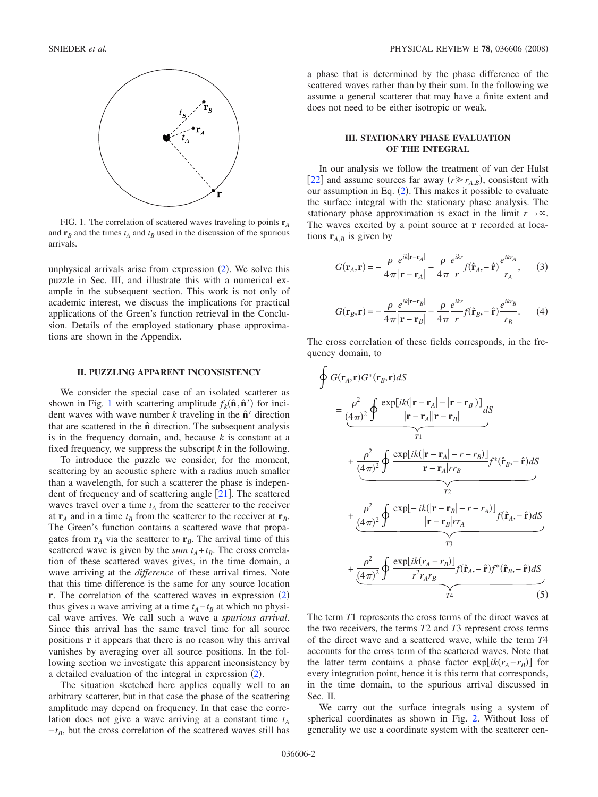

FIG. 1. The correlation of scattered waves traveling to points **r***<sup>A</sup>* and  $\mathbf{r}_B$  and the times  $t_A$  and  $t_B$  used in the discussion of the spurious arrivals.

unphysical arrivals arise from expression  $(2)$  $(2)$  $(2)$ . We solve this puzzle in Sec. III, and illustrate this with a numerical example in the subsequent section. This work is not only of academic interest, we discuss the implications for practical applications of the Green's function retrieval in the Conclusion. Details of the employed stationary phase approximations are shown in the Appendix.

#### **II. PUZZLING APPARENT INCONSISTENCY**

We consider the special case of an isolated scatterer as shown in Fig. 1 with scattering amplitude  $f_k(\hat{\bf{n}}, \hat{\bf{n}}')$  for incident waves with wave number  $k$  traveling in the  $\hat{\mathbf{n}}'$  direction that are scattered in the **n**ˆ direction. The subsequent analysis is in the frequency domain, and, because *k* is constant at a fixed frequency, we suppress the subscript *k* in the following.

To introduce the puzzle we consider, for the moment, scattering by an acoustic sphere with a radius much smaller than a wavelength, for such a scatterer the phase is independent of frequency and of scattering angle  $[21]$  $[21]$  $[21]$ . The scattered waves travel over a time  $t_A$  from the scatterer to the receiver at  $\mathbf{r}_A$  and in a time  $t_B$  from the scatterer to the receiver at  $\mathbf{r}_B$ . The Green's function contains a scattered wave that propagates from  $\mathbf{r}_A$  via the scatterer to  $\mathbf{r}_B$ . The arrival time of this scattered wave is given by the *sum*  $t_A + t_B$ . The cross correlation of these scattered waves gives, in the time domain, a wave arriving at the *difference* of these arrival times. Note that this time difference is the same for any source location **r**. The correlation of the scattered waves in expression  $(2)$  $(2)$  $(2)$ thus gives a wave arriving at a time  $t_A - t_B$  at which no physical wave arrives. We call such a wave a *spurious arrival*. Since this arrival has the same travel time for all source positions **r** it appears that there is no reason why this arrival vanishes by averaging over all source positions. In the following section we investigate this apparent inconsistency by a detailed evaluation of the integral in expression  $(2)$  $(2)$  $(2)$ .

The situation sketched here applies equally well to an arbitrary scatterer, but in that case the phase of the scattering amplitude may depend on frequency. In that case the correlation does not give a wave arriving at a constant time  $t_A$  $-t_B$ , but the cross correlation of the scattered waves still has

a phase that is determined by the phase difference of the scattered waves rather than by their sum. In the following we assume a general scatterer that may have a finite extent and does not need to be either isotropic or weak.

## **III. STATIONARY PHASE EVALUATION OF THE INTEGRAL**

In our analysis we follow the treatment of van der Hulst [[22](#page-8-15)] and assume sources far away  $(r \ge r_{A,B})$ , consistent with our assumption in Eq.  $(2)$  $(2)$  $(2)$ . This makes it possible to evaluate the surface integral with the stationary phase analysis. The stationary phase approximation is exact in the limit  $r \rightarrow \infty$ . The waves excited by a point source at **r** recorded at locations  $\mathbf{r}_{A,B}$  is given by

$$
G(\mathbf{r}_A, \mathbf{r}) = -\frac{\rho}{4\pi} \frac{e^{ik|\mathbf{r} - \mathbf{r}_A|}}{|\mathbf{r} - \mathbf{r}_A|} - \frac{\rho}{4\pi} \frac{e^{ikr}}{r} f(\hat{\mathbf{r}}_A, -\hat{\mathbf{r}}) \frac{e^{ikr_A}}{r_A},\qquad(3)
$$

$$
G(\mathbf{r}_B, \mathbf{r}) = -\frac{\rho}{4\pi} \frac{e^{ik|\mathbf{r} - \mathbf{r}_B|}}{|\mathbf{r} - \mathbf{r}_B|} - \frac{\rho}{4\pi} \frac{e^{ikr}}{r} f(\hat{\mathbf{r}}_B, -\hat{\mathbf{r}}) \frac{e^{ikr}_B}{r_B}.
$$
 (4)

The cross correlation of these fields corresponds, in the frequency domain, to

<span id="page-2-0"></span>
$$
\oint G(\mathbf{r}_A, \mathbf{r}) G^*(\mathbf{r}_B, \mathbf{r}) dS
$$
\n
$$
= \frac{\rho^2}{(4\pi)^2} \oint \frac{\exp[ik(|\mathbf{r} - \mathbf{r}_A| - |\mathbf{r} - \mathbf{r}_B|)]}{|\mathbf{r} - \mathbf{r}_A||\mathbf{r} - \mathbf{r}_B|} dS
$$
\n
$$
+ \frac{\rho^2}{(4\pi)^2} \oint \frac{\exp[ik(|\mathbf{r} - \mathbf{r}_A| - r - r_B)]}{|\mathbf{r} - \mathbf{r}_A|r_{B}|} f^*(\hat{\mathbf{r}}_B, -\hat{\mathbf{r}}) dS
$$
\n
$$
+ \frac{\rho^2}{(4\pi)^2} \oint \frac{\exp[-ik(|\mathbf{r} - \mathbf{r}_B| - r - r_A)]}{|\mathbf{r} - \mathbf{r}_B|r_{A}|} f(\hat{\mathbf{r}}_A, -\hat{\mathbf{r}}) dS
$$
\n
$$
+ \frac{\rho^2}{(4\pi)^2} \oint \frac{\exp[ik(r_A - r_B)]}{r^2 r_A r_B} f(\hat{\mathbf{r}}_A, -\hat{\mathbf{r}}) f^*(\hat{\mathbf{r}}_B, -\hat{\mathbf{r}}) dS
$$
\n
$$
+ \frac{\rho^2}{(4\pi)^2} \oint \frac{\exp[ik(r_A - r_B)]}{r^2 r_A r_B} f(\hat{\mathbf{r}}_A, -\hat{\mathbf{r}}) f^*(\hat{\mathbf{r}}_B, -\hat{\mathbf{r}}) dS
$$
\n(5)

The term *T*1 represents the cross terms of the direct waves at the two receivers, the terms *T*2 and *T*3 represent cross terms of the direct wave and a scattered wave, while the term *T*4 accounts for the cross term of the scattered waves. Note that the latter term contains a phase factor  $exp[ik(r_A - r_B)]$  for every integration point, hence it is this term that corresponds, in the time domain, to the spurious arrival discussed in Sec. II.

We carry out the surface integrals using a system of spherical coordinates as shown in Fig. [2.](#page-3-0) Without loss of generality we use a coordinate system with the scatterer cen-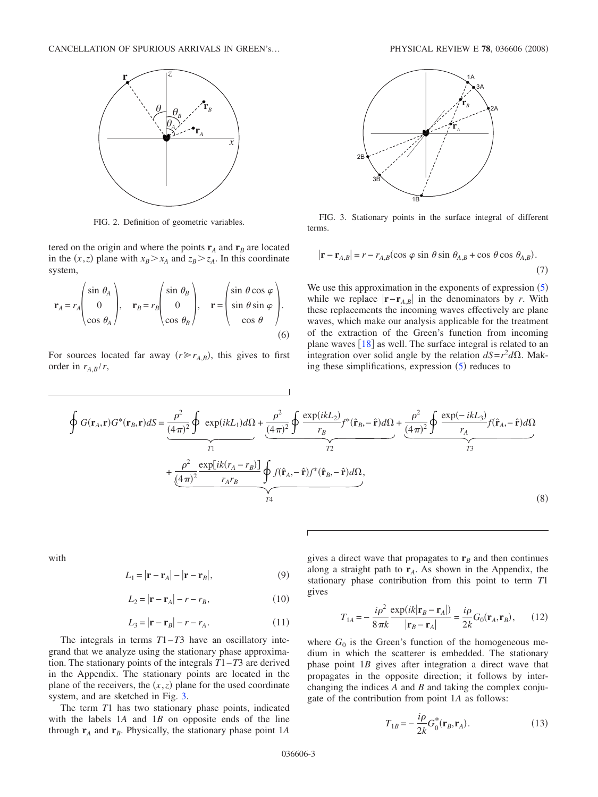<span id="page-3-0"></span>

FIG. 2. Definition of geometric variables.

tered on the origin and where the points  $\mathbf{r}_A$  and  $\mathbf{r}_B$  are located in the  $(x, z)$  plane with  $x_B > x_A$  and  $z_B > z_A$ . In this coordinate system,

<span id="page-3-4"></span>
$$
\mathbf{r}_A = r_A \begin{pmatrix} \sin \theta_A \\ 0 \\ \cos \theta_A \end{pmatrix}, \quad \mathbf{r}_B = r_B \begin{pmatrix} \sin \theta_B \\ 0 \\ \cos \theta_B \end{pmatrix}, \quad \mathbf{r} = \begin{pmatrix} \sin \theta \cos \varphi \\ \sin \theta \sin \varphi \\ \cos \theta \end{pmatrix}.
$$
 (6)

For sources located far away  $(r \gg r_{A,B})$ , this gives to first order in  $r_{A,B}/r$ ,

<span id="page-3-2"></span>

FIG. 3. Stationary points in the surface integral of different terms.

<span id="page-3-1"></span>
$$
|\mathbf{r} - \mathbf{r}_{A,B}| = r - r_{A,B}(\cos\varphi\sin\theta\sin\theta_{A,B} + \cos\theta\cos\theta_{A,B}).
$$
\n(7)

We use this approximation in the exponents of expression  $(5)$  $(5)$  $(5)$ while we replace  $|\mathbf{r} - \mathbf{r}_{A,B}|$  in the denominators by *r*. With these replacements the incoming waves effectively are plane waves, which make our analysis applicable for the treatment of the extraction of the Green's function from incoming plane waves  $[18]$  $[18]$  $[18]$  as well. The surface integral is related to an integration over solid angle by the relation  $dS = r^2 d\Omega$ . Making these simplifications, expression  $(5)$  $(5)$  $(5)$  reduces to

$$
\oint G(\mathbf{r}_A, \mathbf{r}) G^*(\mathbf{r}_B, \mathbf{r}) dS = \underbrace{\frac{\rho^2}{(4\pi)^2} \oint \exp(ikL_1) d\Omega}_{T_1} + \underbrace{\frac{\rho^2}{(4\pi)^2} \oint \frac{\exp(ikL_2)}{r_B} f^*(\hat{\mathbf{r}}_B, -\hat{\mathbf{r}}) d\Omega}_{T_2} + \underbrace{\frac{\rho^2}{(4\pi)^2} \underbrace{\exp[ik(r_A - r_B)]}_{r_A r_B} \oint f(\hat{\mathbf{r}}_A, -\hat{\mathbf{r}}) f^*(\hat{\mathbf{r}}_B, -\hat{\mathbf{r}}) d\Omega}_{T_4},
$$
\n(8)

<span id="page-3-5"></span>with

$$
L_1 = |\mathbf{r} - \mathbf{r}_A| - |\mathbf{r} - \mathbf{r}_B|,\tag{9}
$$

$$
L_2 = |\mathbf{r} - \mathbf{r}_A| - r - r_B,\tag{10}
$$

$$
L_3 = |\mathbf{r} - \mathbf{r}_B| - r - r_A. \tag{11}
$$

The integrals in terms *T*1–*T*3 have an oscillatory integrand that we analyze using the stationary phase approximation. The stationary points of the integrals *T*1–*T*3 are derived in the Appendix. The stationary points are located in the plane of the receivers, the  $(x, z)$  plane for the used coordinate system, and are sketched in Fig. 3.

The term *T*1 has two stationary phase points, indicated with the labels 1*A* and 1*B* on opposite ends of the line through  $\mathbf{r}_A$  and  $\mathbf{r}_B$ . Physically, the stationary phase point 1*A* 

gives a direct wave that propagates to  $\mathbf{r}_B$  and then continues along a straight path to **r***A*. As shown in the Appendix, the stationary phase contribution from this point to term *T*1 gives

$$
T_{1A} = -\frac{i\rho^2}{8\pi k} \frac{\exp(ik|\mathbf{r}_B - \mathbf{r}_A|)}{|\mathbf{r}_B - \mathbf{r}_A|} = \frac{i\rho}{2k} G_0(\mathbf{r}_A, \mathbf{r}_B),\qquad(12)
$$

<span id="page-3-3"></span>where  $G_0$  is the Green's function of the homogeneous medium in which the scatterer is embedded. The stationary phase point 1*B* gives after integration a direct wave that propagates in the opposite direction; it follows by interchanging the indices *A* and *B* and taking the complex conjugate of the contribution from point 1*A* as follows:

<span id="page-3-6"></span>
$$
T_{1B} = -\frac{i\rho}{2k} G_0^*(\mathbf{r}_B, \mathbf{r}_A). \tag{13}
$$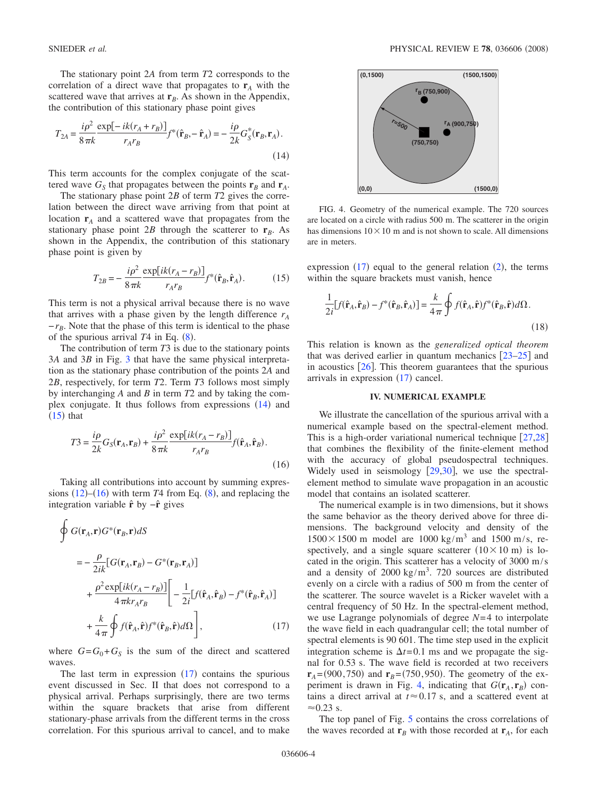The stationary point 2*A* from term *T*2 corresponds to the correlation of a direct wave that propagates to  $\mathbf{r}_A$  with the scattered wave that arrives at  $\mathbf{r}_B$ . As shown in the Appendix, the contribution of this stationary phase point gives

<span id="page-4-1"></span>
$$
T_{2A} = \frac{i\rho^2}{8\pi k} \frac{\exp[-ik(r_A + r_B)]}{r_A r_B} f^*(\hat{\mathbf{r}}_B, -\hat{\mathbf{r}}_A) = -\frac{i\rho}{2k} G_S^*(\mathbf{r}_B, \mathbf{r}_A).
$$
\n(14)

This term accounts for the complex conjugate of the scattered wave  $G_S$  that propagates between the points  $\mathbf{r}_B$  and  $\mathbf{r}_A$ .

The stationary phase point 2*B* of term *T*2 gives the correlation between the direct wave arriving from that point at location  $\mathbf{r}_A$  and a scattered wave that propagates from the stationary phase point 2*B* through the scatterer to  $\mathbf{r}_B$ . As shown in the Appendix, the contribution of this stationary phase point is given by

$$
T_{2B} = -\frac{i\rho^2}{8\pi k} \frac{\exp[ik(r_A - r_B)]}{r_A r_B} f^*(\hat{\mathbf{r}}_B, \hat{\mathbf{r}}_A). \tag{15}
$$

<span id="page-4-2"></span>This term is not a physical arrival because there is no wave that arrives with a phase given by the length difference  $r_A$  $-r_B$ . Note that the phase of this term is identical to the phase of the spurious arrival  $T4$  in Eq.  $(8)$  $(8)$  $(8)$ .

The contribution of term *T*3 is due to the stationary points 3*A* and 3*B* in Fig. [3](#page-3-2) that have the same physical interpretation as the stationary phase contribution of the points 2*A* and 2*B*, respectively, for term *T*2. Term *T*3 follows most simply by interchanging *A* and *B* in term *T*2 and by taking the complex conjugate. It thus follows from expressions  $(14)$  and  $(15)$  that

$$
T3 = \frac{i\rho}{2k}G_S(\mathbf{r}_A, \mathbf{r}_B) + \frac{i\rho^2}{8\pi k} \frac{\exp[ik(r_A - r_B)]}{r_A r_B} f(\hat{\mathbf{r}}_A, \hat{\mathbf{r}}_B).
$$
\n(16)

Taking all contributions into account by summing expressions  $(12)$  $(12)$  $(12)$ – $(16)$  with term *T*4 from Eq.  $(8)$  $(8)$  $(8)$ , and replacing the integration variable **r**ˆ by −**r**ˆ gives

<span id="page-4-0"></span>
$$
\oint G(\mathbf{r}_A, \mathbf{r}) G^*(\mathbf{r}_B, \mathbf{r}) dS
$$
\n
$$
= -\frac{\rho}{2ik} [G(\mathbf{r}_A, \mathbf{r}_B) - G^*(\mathbf{r}_B, \mathbf{r}_A)]
$$
\n
$$
+ \frac{\rho^2 \exp[ik(r_A - r_B)]}{4\pi kr_A r_B} \left[ -\frac{1}{2i} [f(\hat{\mathbf{r}}_A, \hat{\mathbf{r}}_B) - f^*(\hat{\mathbf{r}}_B, \hat{\mathbf{r}}_A)]
$$
\n
$$
+ \frac{k}{4\pi} \oint f(\hat{\mathbf{r}}_A, \hat{\mathbf{r}}) f^*(\hat{\mathbf{r}}_B, \hat{\mathbf{r}}) d\Omega \right],
$$
\n(17)

where  $G = G_0 + G_S$  is the sum of the direct and scattered waves.

The last term in expression  $(17)$  contains the spurious event discussed in Sec. II that does not correspond to a physical arrival. Perhaps surprisingly, there are two terms within the square brackets that arise from different stationary-phase arrivals from the different terms in the cross correlation. For this spurious arrival to cancel, and to make



FIG. 4. Geometry of the numerical example. The 720 sources are located on a circle with radius 500 m. The scatterer in the origin has dimensions  $10\times10$  m and is not shown to scale. All dimensions are in meters.

expression  $(17)$  equal to the general relation  $(2)$  $(2)$  $(2)$ , the terms within the square brackets must vanish, hence

$$
\frac{1}{2i}[f(\hat{\mathbf{r}}_A, \hat{\mathbf{r}}_B) - f^*(\hat{\mathbf{r}}_B, \hat{\mathbf{r}}_A)] = \frac{k}{4\pi} \oint f(\hat{\mathbf{r}}_A, \hat{\mathbf{r}}) f^*(\hat{\mathbf{r}}_B, \hat{\mathbf{r}}) d\Omega.
$$
\n(18)

This relation is known as the *generalized optical theorem* that was derived earlier in quantum mechanics  $\left[23-25\right]$  $\left[23-25\right]$  $\left[23-25\right]$  and in acoustics  $[26]$  $[26]$  $[26]$ . This theorem guarantees that the spurious arrivals in expression  $(17)$  cancel.

## **IV. NUMERICAL EXAMPLE**

We illustrate the cancellation of the spurious arrival with a numerical example based on the spectral-element method. This is a high-order variational numerical technique  $[27,28]$  $[27,28]$  $[27,28]$  $[27,28]$ that combines the flexibility of the finite-element method with the accuracy of global pseudospectral techniques. Widely used in seismology  $[29,30]$  $[29,30]$  $[29,30]$  $[29,30]$ , we use the spectralelement method to simulate wave propagation in an acoustic model that contains an isolated scatterer.

The numerical example is in two dimensions, but it shows the same behavior as the theory derived above for three dimensions. The background velocity and density of the  $1500 \times 1500$  m model are 1000 kg/m<sup>3</sup> and 1500 m/s, respectively, and a single square scatterer  $(10 \times 10 \text{ m})$  is located in the origin. This scatterer has a velocity of 3000 m/s and a density of  $2000 \text{ kg/m}^3$ . 720 sources are distributed evenly on a circle with a radius of 500 m from the center of the scatterer. The source wavelet is a Ricker wavelet with a central frequency of 50 Hz. In the spectral-element method, we use Lagrange polynomials of degree *N*=4 to interpolate the wave field in each quadrangular cell; the total number of spectral elements is 90 601. The time step used in the explicit integration scheme is  $\Delta t$ =0.1 ms and we propagate the signal for 0.53 s. The wave field is recorded at two receivers  **and**  $**r**<sub>B</sub> = (750, 950)$ **. The geometry of the ex**periment is drawn in Fig. 4, indicating that  $G(\mathbf{r}_A, \mathbf{r}_B)$  contains a direct arrival at  $t \approx 0.17$  s, and a scattered event at  $\approx 0.23$  s.

The top panel of Fig. [5](#page-5-0) contains the cross correlations of the waves recorded at  $\mathbf{r}_B$  with those recorded at  $\mathbf{r}_A$ , for each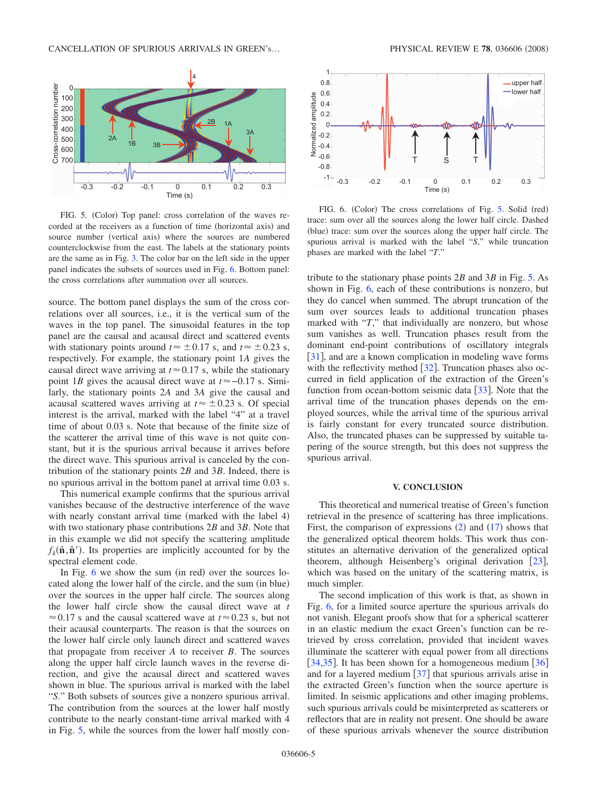<span id="page-5-0"></span>

FIG. 5. (Color) Top panel: cross correlation of the waves recorded at the receivers as a function of time (horizontal axis) and source number (vertical axis) where the sources are numbered counterclockwise from the east. The labels at the stationary points are the same as in Fig. [3.](#page-3-2) The color bar on the left side in the upper panel indicates the subsets of sources used in Fig. 6. Bottom panel: the cross correlations after summation over all sources.

source. The bottom panel displays the sum of the cross correlations over all sources, i.e., it is the vertical sum of the waves in the top panel. The sinusoidal features in the top panel are the causal and acausal direct and scattered events with stationary points around  $t \approx \pm 0.17$  s, and  $t \approx \pm 0.23$  s, respectively. For example, the stationary point 1*A* gives the causal direct wave arriving at  $t \approx 0.17$  s, while the stationary point 1*B* gives the acausal direct wave at  $t \approx -0.17$  s. Similarly, the stationary points 2*A* and 3*A* give the causal and acausal scattered waves arriving at  $t \approx \pm 0.23$  s. Of special interest is the arrival, marked with the label "4" at a travel time of about 0.03 s. Note that because of the finite size of the scatterer the arrival time of this wave is not quite constant, but it is the spurious arrival because it arrives before the direct wave. This spurious arrival is canceled by the contribution of the stationary points 2*B* and 3*B*. Indeed, there is no spurious arrival in the bottom panel at arrival time 0.03 s.

This numerical example confirms that the spurious arrival vanishes because of the destructive interference of the wave with nearly constant arrival time (marked with the label  $4$ ) with two stationary phase contributions 2*B* and 3*B*. Note that in this example we did not specify the scattering amplitude  $f_k(\hat{\mathbf{n}}, \hat{\mathbf{n}}')$ . Its properties are implicitly accounted for by the spectral element code.

In Fig.  $6$  we show the sum (in red) over the sources located along the lower half of the circle, and the sum (in blue) over the sources in the upper half circle. The sources along the lower half circle show the causal direct wave at *t*  $\approx$  0.17 s and the causal scattered wave at *t* $\approx$  0.23 s, but not their acausal counterparts. The reason is that the sources on the lower half circle only launch direct and scattered waves that propagate from receiver *A* to receiver *B*. The sources along the upper half circle launch waves in the reverse direction, and give the acausal direct and scattered waves shown in blue. The spurious arrival is marked with the label "*S*." Both subsets of sources give a nonzero spurious arrival. The contribution from the sources at the lower half mostly contribute to the nearly constant-time arrival marked with 4 in Fig. 5, while the sources from the lower half mostly con-



FIG. 6. (Color) The cross correlations of Fig. 5. Solid (red) trace: sum over all the sources along the lower half circle. Dashed (blue) trace: sum over the sources along the upper half circle. The spurious arrival is marked with the label "*S*," while truncation phases are marked with the label "*T*."

tribute to the stationary phase points 2*B* and 3*B* in Fig. 5. As shown in Fig. 6, each of these contributions is nonzero, but they do cancel when summed. The abrupt truncation of the sum over sources leads to additional truncation phases marked with "*T*," that individually are nonzero, but whose sum vanishes as well. Truncation phases result from the dominant end-point contributions of oscillatory integrals  $[31]$  $[31]$  $[31]$ , and are a known complication in modeling wave forms with the reflectivity method  $[32]$  $[32]$  $[32]$ . Truncation phases also occurred in field application of the extraction of the Green's function from ocean-bottom seismic data  $[33]$  $[33]$  $[33]$ . Note that the arrival time of the truncation phases depends on the employed sources, while the arrival time of the spurious arrival is fairly constant for every truncated source distribution. Also, the truncated phases can be suppressed by suitable tapering of the source strength, but this does not suppress the spurious arrival.

## **V. CONCLUSION**

This theoretical and numerical treatise of Green's function retrieval in the presence of scattering has three implications. First, the comparison of expressions  $(2)$  $(2)$  $(2)$  and  $(17)$  $(17)$  $(17)$  shows that the generalized optical theorem holds. This work thus constitutes an alternative derivation of the generalized optical theorem, although Heisenberg's original derivation  $[23]$  $[23]$  $[23]$ , which was based on the unitary of the scattering matrix, is much simpler.

The second implication of this work is that, as shown in Fig. 6, for a limited source aperture the spurious arrivals do not vanish. Elegant proofs show that for a spherical scatterer in an elastic medium the exact Green's function can be retrieved by cross correlation, provided that incident waves illuminate the scatterer with equal power from all directions [[34,](#page-8-26)[35](#page-8-27)]. It has been shown for a homogeneous medium  $[36]$  $[36]$  $[36]$ and for a layered medium  $[37]$  $[37]$  $[37]$  that spurious arrivals arise in the extracted Green's function when the source aperture is limited. In seismic applications and other imaging problems, such spurious arrivals could be misinterpreted as scatterers or reflectors that are in reality not present. One should be aware of these spurious arrivals whenever the source distribution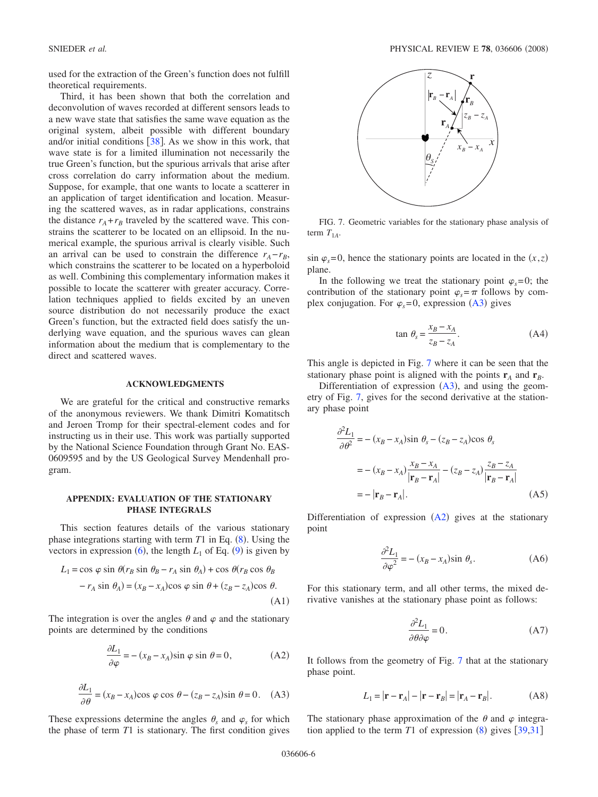used for the extraction of the Green's function does not fulfill theoretical requirements.

Third, it has been shown that both the correlation and deconvolution of waves recorded at different sensors leads to a new wave state that satisfies the same wave equation as the original system, albeit possible with different boundary and/or initial conditions  $\lceil 38 \rceil$  $\lceil 38 \rceil$  $\lceil 38 \rceil$ . As we show in this work, that wave state is for a limited illumination not necessarily the true Green's function, but the spurious arrivals that arise after cross correlation do carry information about the medium. Suppose, for example, that one wants to locate a scatterer in an application of target identification and location. Measuring the scattered waves, as in radar applications, constrains the distance  $r_A + r_B$  traveled by the scattered wave. This constrains the scatterer to be located on an ellipsoid. In the numerical example, the spurious arrival is clearly visible. Such an arrival can be used to constrain the difference  $r_A - r_B$ , which constrains the scatterer to be located on a hyperboloid as well. Combining this complementary information makes it possible to locate the scatterer with greater accuracy. Correlation techniques applied to fields excited by an uneven source distribution do not necessarily produce the exact Green's function, but the extracted field does satisfy the underlying wave equation, and the spurious waves can glean information about the medium that is complementary to the direct and scattered waves.

## **ACKNOWLEDGMENTS**

We are grateful for the critical and constructive remarks of the anonymous reviewers. We thank Dimitri Komatitsch and Jeroen Tromp for their spectral-element codes and for instructing us in their use. This work was partially supported by the National Science Foundation through Grant No. EAS-0609595 and by the US Geological Survey Mendenhall program.

## **APPENDIX: EVALUATION OF THE STATIONARY PHASE INTEGRALS**

This section features details of the various stationary phase integrations starting with term  $T1$  in Eq.  $(8)$  $(8)$  $(8)$ . Using the vectors in expression  $(6)$  $(6)$  $(6)$ , the length  $L_1$  of Eq.  $(9)$  $(9)$  $(9)$  is given by

$$
L_1 = \cos \varphi \sin \theta (r_B \sin \theta_B - r_A \sin \theta_A) + \cos \theta (r_B \cos \theta_B - r_A \sin \theta_A) = (x_B - x_A)\cos \varphi \sin \theta + (z_B - z_A)\cos \theta.
$$
\n(A1)

The integration is over the angles  $\theta$  and  $\varphi$  and the stationary points are determined by the conditions

$$
\frac{\partial L_1}{\partial \varphi} = -\left(x_B - x_A\right) \sin \varphi \sin \theta = 0,\tag{A2}
$$

$$
\frac{\partial L_1}{\partial \theta} = (x_B - x_A)\cos\varphi\cos\theta - (z_B - z_A)\sin\theta = 0. \quad (A3)
$$

These expressions determine the angles  $\theta_s$  and  $\varphi_s$  for which the phase of term *T*1 is stationary. The first condition gives

<span id="page-6-2"></span>

FIG. 7. Geometric variables for the stationary phase analysis of term  $T_{1A}$ .

 $\sin \varphi_s = 0$ , hence the stationary points are located in the  $(x, z)$ plane.

In the following we treat the stationary point  $\varphi_s = 0$ ; the contribution of the stationary point  $\varphi_s = \pi$  follows by complex conjugation. For  $\varphi_s = 0$ , expression  $(A3)$  gives

$$
\tan \theta_s = \frac{x_B - x_A}{z_B - z_A}.\tag{A4}
$$

This angle is depicted in Fig. 7 where it can be seen that the stationary phase point is aligned with the points  $\mathbf{r}_A$  and  $\mathbf{r}_B$ .

Differentiation of expression  $(A3)$ , and using the geometry of Fig. 7, gives for the second derivative at the stationary phase point

<span id="page-6-0"></span>
$$
\frac{\partial^2 L_1}{\partial \theta^2} = -(x_B - x_A)\sin \theta_s - (z_B - z_A)\cos \theta_s
$$

$$
= -(x_B - x_A)\frac{x_B - x_A}{|\mathbf{r}_B - \mathbf{r}_A|} - (z_B - z_A)\frac{z_B - z_A}{|\mathbf{r}_B - \mathbf{r}_A|}
$$

$$
= -|\mathbf{r}_B - \mathbf{r}_A|.
$$
(A5)

Differentiation of expression  $(A2)$  gives at the stationary point

$$
\frac{\partial^2 L_1}{\partial \varphi^2} = -\left(x_B - x_A\right) \sin \theta_s. \tag{A6}
$$

<span id="page-6-1"></span>For this stationary term, and all other terms, the mixed derivative vanishes at the stationary phase point as follows:

$$
\frac{\partial^2 L_1}{\partial \theta \partial \varphi} = 0.
$$
 (A7)

It follows from the geometry of Fig. 7 that at the stationary phase point.

$$
L_1 = |\mathbf{r} - \mathbf{r}_A| - |\mathbf{r} - \mathbf{r}_B| = |\mathbf{r}_A - \mathbf{r}_B|.
$$
 (A8)

The stationary phase approximation of the  $\theta$  and  $\varphi$  integration applied to the term  $T1$  of expression  $(8)$  $(8)$  $(8)$  gives  $\lceil 39,31 \rceil$  $\lceil 39,31 \rceil$  $\lceil 39,31 \rceil$  $\lceil 39,31 \rceil$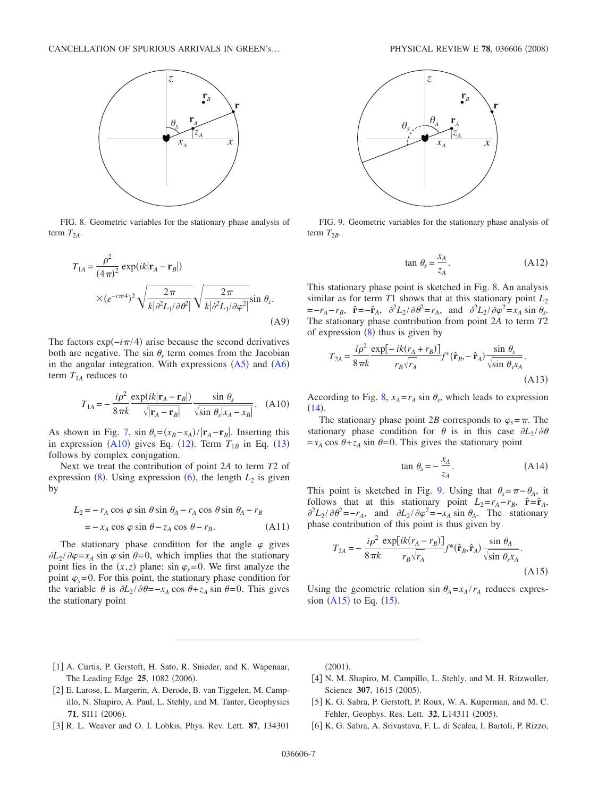

FIG. 8. Geometric variables for the stationary phase analysis of term  $T_{2A}$ .

$$
T_{1A} = \frac{\rho^2}{(4\pi)^2} \exp(ik|\mathbf{r}_A - \mathbf{r}_B|)
$$
  
 
$$
\times (e^{-i\pi/4})^2 \sqrt{\frac{2\pi}{k|\partial^2 L_1/\partial \theta^2}} \sqrt{\frac{2\pi}{k|\partial^2 L_1/\partial \varphi^2}} \sin \theta_s.
$$
 (A9)

The factors  $\exp(-i\pi/4)$  arise because the second derivatives both are negative. The sin  $\theta_s$  term comes from the Jacobian in the angular integration. With expressions  $(A5)$  $(A5)$  $(A5)$  and  $(A6)$  $(A6)$  $(A6)$ term  $T_{1A}$  reduces to

$$
T_{1A} = -\frac{i\rho^2}{8\pi k} \frac{\exp(ik|\mathbf{r}_A - \mathbf{r}_B|)}{\sqrt{|\mathbf{r}_A - \mathbf{r}_B|}} \frac{\sin \theta_s}{\sqrt{\sin \theta_s |x_A - x_B|}}.
$$
 (A10)

As shown in Fig. [7,](#page-6-2) sin  $\theta_s = (x_B - x_A)/|\mathbf{r}_A - \mathbf{r}_B|$ . Inserting this in expression  $(A10)$  gives Eq.  $(12)$  $(12)$  $(12)$ . Term  $T_{1B}$  in Eq.  $(13)$  $(13)$  $(13)$ follows by complex conjugation.

Next we treat the contribution of point 2*A* to term *T*2 of expression  $(8)$  $(8)$  $(8)$ . Using expression  $(6)$  $(6)$  $(6)$ , the length  $L_2$  is given by

$$
L_2 = -r_A \cos \varphi \sin \theta \sin \theta_A - r_A \cos \theta \sin \theta_A - r_B
$$
  
=  $-x_A \cos \varphi \sin \theta - z_A \cos \theta - r_B.$  (A11)

The stationary phase condition for the angle  $\varphi$  gives  $\partial L_2 / \partial \varphi = x_A \sin \varphi \sin \theta = 0$ , which implies that the stationary point lies in the  $(x, z)$  plane: sin  $\varphi_s = 0$ . We first analyze the point  $\varphi_s$ =0. For this point, the stationary phase condition for the variable  $\theta$  is  $\partial L_2 / \partial \theta = -x_A \cos \theta + z_A \sin \theta = 0$ . This gives the stationary point



FIG. 9. Geometric variables for the stationary phase analysis of term  $T_{2B}$ .

$$
\tan \theta_s = \frac{x_A}{z_A}.\tag{A12}
$$

This stationary phase point is sketched in Fig. 8. An analysis similar as for term  $T1$  shows that at this stationary point  $L_2$  $=-r_A - r_B$ ,  $\hat{\mathbf{r}} = -\hat{\mathbf{r}}_A$ ,  $\frac{\partial^2 L_2}{\partial \theta^2} = r_A$ , and  $\frac{\partial^2 L_2}{\partial \varphi^2} = x_A \sin \theta_s$ . The stationary phase contribution from point 2*A* to term *T*2 of expression  $(8)$  $(8)$  $(8)$  thus is given by

$$
T_{2A} = \frac{i\rho^2}{8\pi k} \frac{\exp[-ik(r_A + r_B)]}{r_B \sqrt{r_A}} f^*(\hat{\mathbf{r}}_B, -\hat{\mathbf{r}}_A) \frac{\sin \theta_s}{\sqrt{\sin \theta_s x_A}}.
$$
\n(A13)

According to Fig. 8,  $x_A = r_A \sin \theta_s$ , which leads to expression  $(14).$  $(14).$  $(14).$ 

The stationary phase point 2*B* corresponds to  $\varphi_s = \pi$ . The stationary phase condition for  $\theta$  is in this case  $\partial L_2 / \partial \theta$  $=x_A \cos \theta + z_A \sin \theta = 0$ . This gives the stationary point

$$
\tan \theta_s = -\frac{x_A}{z_A}.\tag{A14}
$$

This point is sketched in Fig. 9. Using that  $\theta_s = \pi - \theta_A$ , it follows that at this stationary point  $L_2 = r_A - r_B$ ,  $\hat{\mathbf{r}} = \hat{\mathbf{r}}_A$ ,  $\partial^2 L_2 / \partial \theta^2 = -r_A$ , and  $\partial L_2 / \partial \varphi^2 = -x_A \sin \theta_A$ . The stationary phase contribution of this point is thus given by

$$
T_{2A} = -\frac{i\rho^2}{8\pi k} \frac{\exp[ik(r_A - r_B)]}{r_B \sqrt{r_A}} f^*(\hat{\mathbf{r}}_B, \hat{\mathbf{r}}_A) \frac{\sin \theta_A}{\sqrt{\sin \theta_s x_A}}.
$$
\n(A15)

Using the geometric relation sin  $\theta_A = x_A/r_A$  reduces expression  $(A15)$  $(A15)$  $(A15)$  to Eq.  $(15)$ .

- [1] A. Curtis, P. Gerstoft, H. Sato, R. Snieder, and K. Wapenaar, The Leading Edge 25, 1082 (2006).
- <span id="page-7-1"></span><span id="page-7-0"></span>[2] E. Larose, L. Margerin, A. Derode, B. van Tiggelen, M. Campillo, N. Shapiro, A. Paul, L. Stehly, and M. Tanter, Geophysics **71**, SI11 (2006).
- <span id="page-7-2"></span>#3\$ R. L. Weaver and O. I. Lobkis, Phys. Rev. Lett. **87**, 134301

 $(2001)$ .

- [4] N. M. Shapiro, M. Campillo, L. Stehly, and M. H. Ritzwoller, Science 307, 1615 (2005).
- <span id="page-7-3"></span>[5] K. G. Sabra, P. Gerstoft, P. Roux, W. A. Kuperman, and M. C. Fehler, Geophys. Res. Lett. **32**, L14311 (2005).
- <span id="page-7-5"></span><span id="page-7-4"></span>[6] K. G. Sabra, A. Srivastava, F. L. di Scalea, I. Bartoli, P. Rizzo,